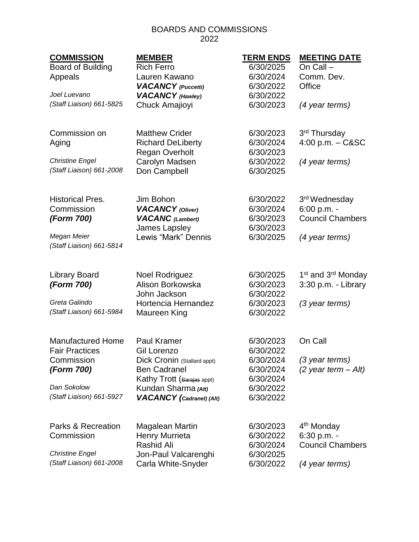## BOARDS AND COMMISSIONS 2022

| <b>COMMISSION</b>                                  | <b>MEMBER</b>                        | <b>TERM ENDS</b>       | <b>MEETING DATE</b>                        |
|----------------------------------------------------|--------------------------------------|------------------------|--------------------------------------------|
| <b>Board of Building</b>                           | <b>Rich Ferro</b>                    | 6/30/2025              | On Call -                                  |
| Appeals                                            | Lauren Kawano                        | 6/30/2024              | Comm. Dev.                                 |
|                                                    | <b>VACANCY</b> (Puccetti)            | 6/30/2022              | Office                                     |
| Joel Luevano                                       | <b>VACANCY</b> (Hawley)              | 6/30/2022              |                                            |
| (Staff Liaison) 661-5825                           | Chuck Amajioyi                       | 6/30/2023              | (4 year terms)                             |
| Commission on                                      | <b>Matthew Crider</b>                | 6/30/2023              | 3rd Thursday                               |
| Aging                                              | <b>Richard DeLiberty</b>             | 6/30/2024              | 4:00 p.m. $-$ C&SC                         |
|                                                    | <b>Regan Overholt</b>                | 6/30/2023              |                                            |
| <b>Christine Engel</b><br>(Staff Liaison) 661-2008 | Carolyn Madsen<br>Don Campbell       | 6/30/2022<br>6/30/2025 | (4 year terms)                             |
|                                                    |                                      | 6/30/2022              |                                            |
| <b>Historical Pres.</b>                            | Jim Bohon                            |                        | 3rd Wednesday                              |
| Commission                                         | <b>VACANCY</b> (Oliver)              | 6/30/2024              | 6:00 p.m. -                                |
| (Form 700)                                         | <b>VACANC</b> (Lambert)              | 6/30/2023              | <b>Council Chambers</b>                    |
| Megan Meier                                        | James Lapsley<br>Lewis "Mark" Dennis | 6/30/2023<br>6/30/2025 |                                            |
| (Staff Liaison) 661-5814                           |                                      |                        | (4 year terms)                             |
| <b>Library Board</b>                               | <b>Noel Rodriguez</b>                | 6/30/2025              | 1 <sup>st</sup> and 3 <sup>rd</sup> Monday |
| (Form 700)                                         | Alison Borkowska                     | 6/30/2023              | 3:30 p.m. - Library                        |
|                                                    | John Jackson                         | 6/30/2022              |                                            |
| Greta Galindo                                      | Hortencia Hernandez                  | 6/30/2023              | (3 year terms)                             |
| (Staff Liaison) 661-5984                           | Maureen King                         | 6/30/2022              |                                            |
|                                                    |                                      |                        |                                            |
| <b>Manufactured Home</b>                           | <b>Paul Kramer</b>                   | 6/30/2023              | On Call                                    |
| <b>Fair Practices</b>                              | Gil Lorenzo                          | 6/30/2022              |                                            |
| Commission                                         | Dick Cronin (Stallard appt)          | 6/30/2024              | (3 year terms)                             |
| (Form 700)                                         | <b>Ben Cadranel</b>                  | 6/30/2024              | $(2$ year term - Alt)                      |
|                                                    | Kathy Trott (Barajas appt)           | 6/30/2024              |                                            |
| Dan Sokolow                                        | Kundan Sharma (Alt)                  | 6/30/2022              |                                            |
| (Staff Liaison) 661-5927                           | <b>VACANCY</b> (Cadranel) (Alt)      | 6/30/2022              |                                            |
| <b>Parks &amp; Recreation</b>                      | <b>Magalean Martin</b>               | 6/30/2023              | 4 <sup>th</sup> Monday                     |
| Commission                                         | <b>Henry Murrieta</b>                | 6/30/2022              | 6:30 p.m. -                                |
|                                                    | <b>Rashid Ali</b>                    | 6/30/2024              | <b>Council Chambers</b>                    |
| <b>Christine Engel</b>                             | Jon-Paul Valcarenghi                 | 6/30/2025              |                                            |
| (Staff Liaison) 661-2008                           | Carla White-Snyder                   | 6/30/2022              | (4 year terms)                             |